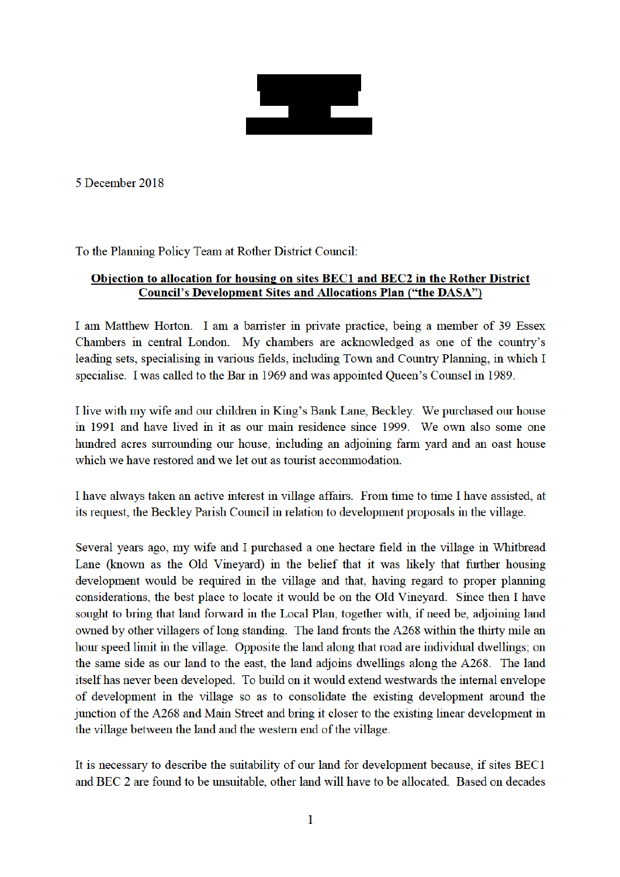<u>e gre</u>

5 December 2018

To the Planning Policy Team at Rother District Council:

## Objection to allocation for housing on sites BEC1 and BEC2 in the Rother District **Council's Development Sites and Allocations Plan ("the DASA")**

I am Matthew Horton. I am a barrister in private practice, being a member of 39 Essex Chambers in central London. My chambers are acknowledged as one of the country's leading sets, specialising in various fields, including Town and Country Planning, in which I specialise. I was called to the Bar in 1969 and was appointed Queen's Counsel in 1989.

I live with my wife and our children in King's Bank Lane, Beckley. We purchased our house in 1991 and have lived in it as our main residence since 1999. We own also some one hundred acres surrounding our house, including an adjoining farm yard and an oast house which we have restored and we let out as tourist accommodation.

I have always taken an active interest in village affairs. From time to time I have assisted, at its request, the Beckley Parish Council in relation to development proposals in the village.

Several years ago, my wife and I purchased a one hectare field in the village in Whitbread Lane (known as the Old Vineyard) in the belief that it was likely that further housing development would be required in the village and that, having regard to proper planning considerations, the best place to locate it would be on the Old Vineyard. Since then I have sought to bring that land forward in the Local Plan, together with, if need be, adjoining land owned by other villagers of long standing. The land fronts the A268 within the thirty mile an hour speed limit in the village. Opposite the land along that road are individual dwellings; on the same side as our land to the east, the land adjoins dwellings along the A268. The land itself has never been developed. To build on it would extend westwards the internal envelope of development in the village so as to consolidate the existing development around the junction of the A268 and Main Street and bring it closer to the existing linear development in the village between the land and the western end of the village.

It is necessary to describe the suitability of our land for development because, if sites BEC1 and BEC 2 are found to be unsuitable, other land will have to be allocated. Based on decades